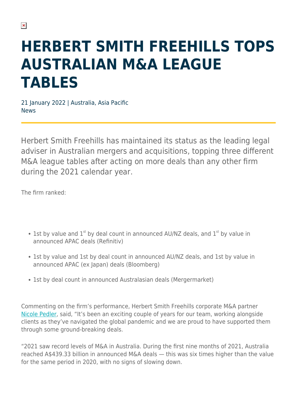# **HERBERT SMITH FREEHILLS TOPS AUSTRALIAN M&A LEAGUE TABLES**

21 January 2022 | Australia, Asia Pacific News

Herbert Smith Freehills has maintained its status as the leading legal adviser in Australian mergers and acquisitions, topping three different M&A league tables after acting on more deals than any other firm during the 2021 calendar year.

The firm ranked:

- 1st by value and  $1^{st}$  by deal count in announced AU/NZ deals, and  $1^{st}$  by value in announced APAC deals (Refinitiv)
- 1st by value and 1st by deal count in announced AU/NZ deals, and 1st by value in announced APAC (ex Japan) deals (Bloomberg)
- 1st by deal count in announced Australasian deals (Mergermarket)

Commenting on the firm's performance, Herbert Smith Freehills corporate M&A partner [Nicole Pedler](https://www.herbertsmithfreehills.com/our-people/nicole-pedler), said, "It's been an exciting couple of years for our team, working alongside clients as they've navigated the global pandemic and we are proud to have supported them through some ground-breaking deals.

"2021 saw record levels of M&A in Australia. During the first nine months of 2021, Australia reached A\$439.33 billion in announced M&A deals — this was six times higher than the value for the same period in 2020, with no signs of slowing down.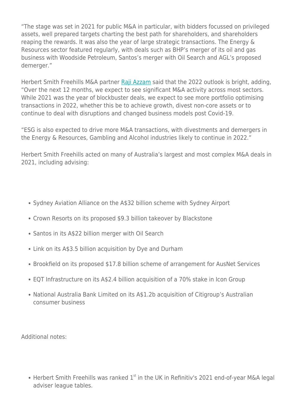"The stage was set in 2021 for public M&A in particular, with bidders focussed on privileged assets, well prepared targets charting the best path for shareholders, and shareholders reaping the rewards. It was also the year of large strategic transactions. The Energy & Resources sector featured regularly, with deals such as BHP's merger of its oil and gas business with Woodside Petroleum, Santos's merger with Oil Search and AGL's proposed demerger."

Herbert Smith Freehills M&A partner Raij Azzam said that the 2022 outlook is bright, adding, "Over the next 12 months, we expect to see significant M&A activity across most sectors. While 2021 was the year of blockbuster deals, we expect to see more portfolio optimising transactions in 2022, whether this be to achieve growth, divest non-core assets or to continue to deal with disruptions and changed business models post Covid-19.

"ESG is also expected to drive more M&A transactions, with divestments and demergers in the Energy & Resources, Gambling and Alcohol industries likely to continue in 2022."

Herbert Smith Freehills acted on many of Australia's largest and most complex M&A deals in 2021, including advising:

- Sydney Aviation Alliance on the A\$32 billion scheme with Sydney Airport
- Crown Resorts on its proposed \$9.3 billion takeover by Blackstone
- Santos in its A\$22 billion merger with Oil Search
- Link on its A\$3.5 billion acquisition by Dye and Durham
- Brookfield on its proposed \$17.8 billion scheme of arrangement for AusNet Services
- EQT Infrastructure on its A\$2.4 billion acquisition of a 70% stake in Icon Group
- National Australia Bank Limited on its A\$1.2b acquisition of Citigroup's Australian consumer business

Additional notes:

• Herbert Smith Freehills was ranked  $1<sup>st</sup>$  in the UK in Refinitiv's 2021 end-of-year M&A legal adviser league tables.